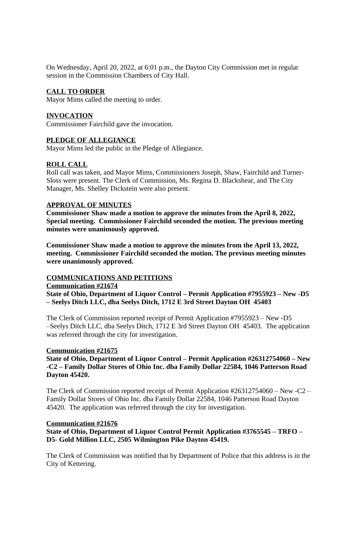On Wednesday, April 20, 2022, at 6:01 p.m., the Dayton City Commission met in regular session in the Commission Chambers of City Hall.

#### **CALL TO ORDER**

Mayor Mims called the meeting to order.

#### **INVOCATION**

Commissioner Fairchild gave the invocation.

#### **PLEDGE OF ALLEGIANCE**

Mayor Mims led the public in the Pledge of Allegiance.

## **ROLL CALL**

Roll call was taken, and Mayor Mims, Commissioners Joseph, Shaw, Fairchild and Turner-Sloss were present. The Clerk of Commission, Ms. Regina D. Blackshear, and The City Manager, Ms. Shelley Dickstein were also present.

#### **APPROVAL OF MINUTES**

**Commissioner Shaw made a motion to approve the minutes from the April 8, 2022, Special meeting. Commissioner Fairchild seconded the motion. The previous meeting minutes were unanimously approved.**

**Commissioner Shaw made a motion to approve the minutes from the April 13, 2022, meeting. Commissioner Fairchild seconded the motion. The previous meeting minutes were unanimously approved.**

## **COMMUNICATIONS AND PETITIONS**

**Communication #21674**

**State of Ohio, Department of Liquor Control – Permit Application #7955923 – New -D5 – Seelys Ditch LLC, dba Seelys Ditch, 1712 E 3rd Street Dayton OH 45403**

The Clerk of Commission reported receipt of Permit Application #7955923 – New -D5 –Seelys Ditch LLC, dba Seelys Ditch, 1712 E 3rd Street Dayton OH 45403. The application was referred through the city for investigation.

#### **Communication #21675**

**State of Ohio, Department of Liquor Control – Permit Application #26312754060 – New -C2 – Family Dollar Stores of Ohio Inc. dba Family Dollar 22584, 1046 Patterson Road Dayton 45420.**

The Clerk of Commission reported receipt of Permit Application #26312754060 – New -C2 – Family Dollar Stores of Ohio Inc. dba Family Dollar 22584, 1046 Patterson Road Dayton 45420. The application was referred through the city for investigation.

#### **Communication #21676**

**State of Ohio, Department of Liquor Control Permit Application #3765545 – TRFO – D5- Gold Million LLC, 2505 Wilmington Pike Dayton 45419.**

The Clerk of Commission was notified that by Department of Police that this address is in the City of Kettering.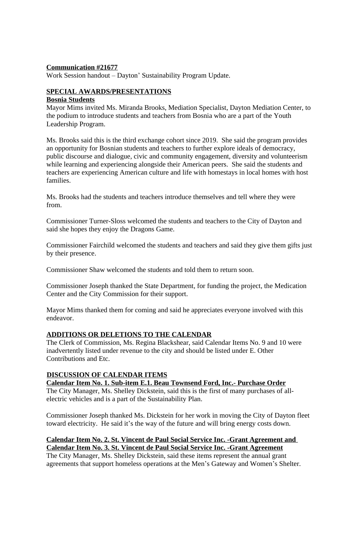# **Communication #21677**

Work Session handout – Dayton' Sustainability Program Update.

## **SPECIAL AWARDS/PRESENTATIONS**

#### **Bosnia Students**

Mayor Mims invited Ms. Miranda Brooks, Mediation Specialist, Dayton Mediation Center, to the podium to introduce students and teachers from Bosnia who are a part of the Youth Leadership Program.

Ms. Brooks said this is the third exchange cohort since 2019. She said the program provides an opportunity for Bosnian students and teachers to further explore ideals of democracy, public discourse and dialogue, civic and community engagement, diversity and volunteerism while learning and experiencing alongside their American peers. She said the students and teachers are experiencing American culture and life with homestays in local homes with host families.

Ms. Brooks had the students and teachers introduce themselves and tell where they were from.

Commissioner Turner-Sloss welcomed the students and teachers to the City of Dayton and said she hopes they enjoy the Dragons Game.

Commissioner Fairchild welcomed the students and teachers and said they give them gifts just by their presence.

Commissioner Shaw welcomed the students and told them to return soon.

Commissioner Joseph thanked the State Department, for funding the project, the Medication Center and the City Commission for their support.

Mayor Mims thanked them for coming and said he appreciates everyone involved with this endeavor.

#### **ADDITIONS OR DELETIONS TO THE CALENDAR**

The Clerk of Commission, Ms. Regina Blackshear, said Calendar Items No. 9 and 10 were inadvertently listed under revenue to the city and should be listed under E. Other Contributions and Etc.

# **DISCUSSION OF CALENDAR ITEMS**

**Calendar Item No. 1. Sub-item E.1. Beau Townsend Ford, Inc.- Purchase Order** The City Manager, Ms. Shelley Dickstein, said this is the first of many purchases of allelectric vehicles and is a part of the Sustainability Plan.

Commissioner Joseph thanked Ms. Dickstein for her work in moving the City of Dayton fleet toward electricity. He said it's the way of the future and will bring energy costs down.

**Calendar Item No. 2. St. Vincent de Paul Social Service Inc. -Grant Agreement and Calendar Item No. 3. St. Vincent de Paul Social Service Inc. -Grant Agreement** The City Manager, Ms. Shelley Dickstein, said these items represent the annual grant agreements that support homeless operations at the Men's Gateway and Women's Shelter.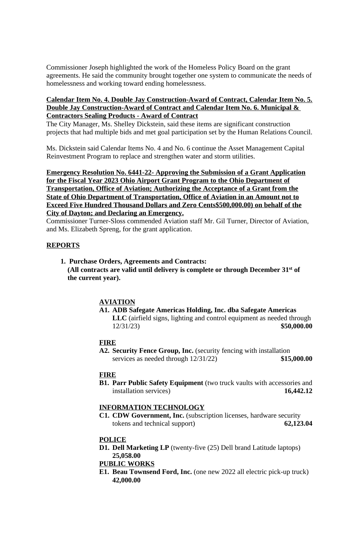Commissioner Joseph highlighted the work of the Homeless Policy Board on the grant agreements. He said the community brought together one system to communicate the needs of homelessness and working toward ending homelessness.

# **Calendar Item No. 4. Double Jay Construction-Award of Contract, Calendar Item No. 5. Double Jay Construction-Award of Contract and Calendar Item No. 6. Municipal & Contractors Sealing Products - Award of Contract**

The City Manager, Ms. Shelley Dickstein, said these items are significant construction projects that had multiple bids and met goal participation set by the Human Relations Council.

Ms. Dickstein said Calendar Items No. 4 and No. 6 continue the Asset Management Capital Reinvestment Program to replace and strengthen water and storm utilities.

**Emergency Resolution No. 6441-22- Approving the Submission of a Grant Application for the Fiscal Year 2023 Ohio Airport Grant Program to the Ohio Department of Transportation, Office of Aviation; Authorizing the Acceptance of a Grant from the State of Ohio Department of Transportation, Office of Aviation in an Amount not to Exceed Five Hundred Thousand Dollars and Zero Cents\$500,000.00) on behalf of the City of Dayton; and Declaring an Emergency.**

Commissioner Turner-Sloss commended Aviation staff Mr. Gil Turner, Director of Aviation, and Ms. Elizabeth Spreng, for the grant application.

## **REPORTS**

 **1. Purchase Orders, Agreements and Contracts: (All contracts are valid until delivery is complete or through December 31st of the current year).**

# **AVIATION**

**A1. ADB Safegate Americas Holding, Inc. dba Safegate Americas LLC** (airfield signs, lighting and control equipment as needed through 12/31/23) **\$50,000.00**

# **FIRE**

**A2. Security Fence Group, Inc.** (security fencing with installation services as needed through 12/31/22) **\$15,000.00**

#### **FIRE**

**B1. Parr Public Safety Equipment** (two truck vaults with accessories and installation services) **16,442.12**

#### **INFORMATION TECHNOLOGY**

**C1. CDW Government, Inc.** (subscription licenses, hardware security tokens and technical support) **62,123.04**

## **POLICE**

**D1. Dell Marketing LP** (twenty-five (25) Dell brand Latitude laptops) **25,058.00**

## **PUBLIC WORKS**

**E1. Beau Townsend Ford, Inc.** (one new 2022 all electric pick-up truck) **42,000.00**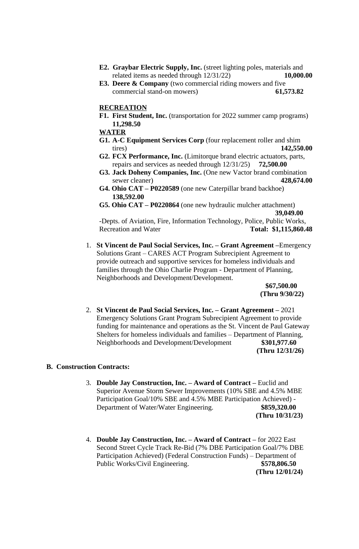- **E2. Graybar Electric Supply, Inc.** (street lighting poles, materials and related items as needed through 12/31/22) **10,000.00**
- **E3. Deere & Company** (two commercial riding mowers and five commercial stand-on mowers) **61,573.82**

#### **RECREATION**

- **F1. First Student, Inc.** (transportation for 2022 summer camp programs) **11,298.50**
- **WATER**
- **G1. A-C Equipment Services Corp** (four replacement roller and shim tires) **142,550.00**
- **G2. FCX Performance, Inc.** (Limitorque brand electric actuators, parts, repairs and services as needed through 12/31/25) **72,500.00**
- **G3. Jack Doheny Companies, Inc.** (One new Vactor brand combination sewer cleaner) **428,674.00**
- **G4. Ohio CAT – P0220589** (one new Caterpillar brand backhoe) **138,592.00**
- **G5. Ohio CAT – P0220864** (one new hydraulic mulcher attachment)  **39,049.00**

-Depts. of Aviation, Fire, Information Technology, Police, Public Works, Recreation and Water **Total: \$1,115,860.48**

1. **St Vincent de Paul Social Services, Inc. – Grant Agreement –**Emergency Solutions Grant – CARES ACT Program Subrecipient Agreement to provide outreach and supportive services for homeless individuals and families through the Ohio Charlie Program - Department of Planning, Neighborhoods and Development/Development.

> **\$67,500.00 (Thru 9/30/22)**

2. **St Vincent de Paul Social Services, Inc. – Grant Agreement –** 2021 Emergency Solutions Grant Program Subrecipient Agreement to provide funding for maintenance and operations as the St. Vincent de Paul Gateway Shelters for homeless individuals and families – Department of Planning, Neighborhoods and Development/Development **\$301,977.60 (Thru 12/31/26)**

#### **B. Construction Contracts:**

- 3. **Double Jay Construction, Inc. – Award of Contract –** Euclid and Superior Avenue Storm Sewer Improvements (10% SBE and 4.5% MBE Participation Goal/10% SBE and 4.5% MBE Participation Achieved) - Department of Water/Water Engineering. **\$859,320.00 (Thru 10/31/23)**
- 4. **Double Jay Construction, Inc. – Award of Contract –** for 2022 East Second Street Cycle Track Re-Bid (7% DBE Participation Goal/7% DBE Participation Achieved) (Federal Construction Funds) – Department of Public Works/Civil Engineering. **\$578,806.50 (Thru 12/01/24)**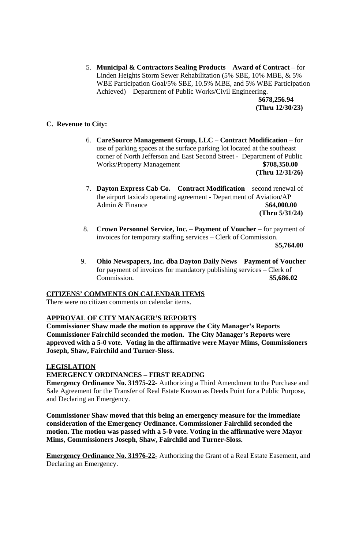5. **Municipal & Contractors Sealing Products** – **Award of Contract –** for Linden Heights Storm Sewer Rehabilitation (5% SBE, 10% MBE, & 5% WBE Participation Goal/5% SBE, 10.5% MBE, and 5% WBE Participation Achieved) – Department of Public Works/Civil Engineering.

 **\$678,256.94 (Thru 12/30/23)**

# **C. Revenue to City:**

- 6. **CareSource Management Group, LLC** – **Contract Modification**  for use of parking spaces at the surface parking lot located at the southeast corner of North Jefferson and East Second Street - Department of Public Works/Property Management **\$708,350.00 (Thru 12/31/26)**
- 7. **Dayton Express Cab Co.** – **Contract Modification**  second renewal of the airport taxicab operating agreement - Department of Aviation/AP Admin & Finance **\$64,000.00 (Thru 5/31/24)**
- 8. **Crown Personnel Service, Inc. – Payment of Voucher –** for payment of invoices for temporary staffing services – Clerk of Commission. **\$5,764.00**
- 9. **Ohio Newspapers, Inc. dba Dayton Daily News** – **Payment of Voucher**  for payment of invoices for mandatory publishing services – Clerk of Commission. **\$5,686.02**

## **CITIZENS' COMMENTS ON CALENDAR ITEMS**

There were no citizen comments on calendar items.

## **APPROVAL OF CITY MANAGER'S REPORTS**

**Commissioner Shaw made the motion to approve the City Manager's Reports Commissioner Fairchild seconded the motion. The City Manager's Reports were approved with a 5-0 vote. Voting in the affirmative were Mayor Mims, Commissioners Joseph, Shaw, Fairchild and Turner-Sloss.**

## **LEGISLATION**

## **EMERGENCY ORDINANCES – FIRST READING**

**Emergency Ordinance No. 31975-22-** Authorizing a Third Amendment to the Purchase and Sale Agreement for the Transfer of Real Estate Known as Deeds Point for a Public Purpose, and Declaring an Emergency.

**Commissioner Shaw moved that this being an emergency measure for the immediate consideration of the Emergency Ordinance. Commissioner Fairchild seconded the motion. The motion was passed with a 5-0 vote. Voting in the affirmative were Mayor Mims, Commissioners Joseph, Shaw, Fairchild and Turner-Sloss.**

**Emergency Ordinance No. 31976-22-** Authorizing the Grant of a Real Estate Easement, and Declaring an Emergency.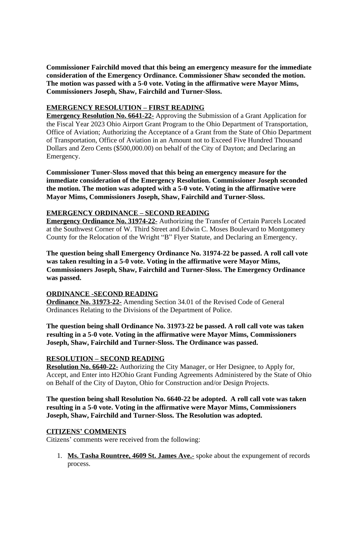**Commissioner Fairchild moved that this being an emergency measure for the immediate consideration of the Emergency Ordinance. Commissioner Shaw seconded the motion. The motion was passed with a 5-0 vote. Voting in the affirmative were Mayor Mims, Commissioners Joseph, Shaw, Fairchild and Turner-Sloss.**

# **EMERGENCY RESOLUTION – FIRST READING**

**Emergency Resolution No. 6641-22-** Approving the Submission of a Grant Application for the Fiscal Year 2023 Ohio Airport Grant Program to the Ohio Department of Transportation, Office of Aviation; Authorizing the Acceptance of a Grant from the State of Ohio Department of Transportation, Office of Aviation in an Amount not to Exceed Five Hundred Thousand Dollars and Zero Cents (\$500,000.00) on behalf of the City of Dayton; and Declaring an Emergency.

**Commissioner Tuner-Sloss moved that this being an emergency measure for the immediate consideration of the Emergency Resolution. Commissioner Joseph seconded the motion. The motion was adopted with a 5-0 vote. Voting in the affirmative were Mayor Mims, Commissioners Joseph, Shaw, Fairchild and Turner-Sloss.**

# **EMERGENCY ORDINANCE – SECOND READING**

**Emergency Ordinance No. 31974-22-** Authorizing the Transfer of Certain Parcels Located at the Southwest Corner of W. Third Street and Edwin C. Moses Boulevard to Montgomery County for the Relocation of the Wright "B" Flyer Statute, and Declaring an Emergency.

**The question being shall Emergency Ordinance No. 31974-22 be passed. A roll call vote was taken resulting in a 5-0 vote. Voting in the affirmative were Mayor Mims, Commissioners Joseph, Shaw, Fairchild and Turner-Sloss. The Emergency Ordinance was passed.**

# **ORDINANCE -SECOND READING**

**Ordinance No. 31973-22-** Amending Section 34.01 of the Revised Code of General Ordinances Relating to the Divisions of the Department of Police.

**The question being shall Ordinance No. 31973-22 be passed. A roll call vote was taken resulting in a 5-0 vote. Voting in the affirmative were Mayor Mims, Commissioners Joseph, Shaw, Fairchild and Turner-Sloss. The Ordinance was passed.**

# **RESOLUTION – SECOND READING**

**Resolution No. 6640-22-** Authorizing the City Manager, or Her Designee, to Apply for, Accept, and Enter into H2Ohio Grant Funding Agreements Administered by the State of Ohio on Behalf of the City of Dayton, Ohio for Construction and/or Design Projects.

**The question being shall Resolution No. 6640-22 be adopted. A roll call vote was taken resulting in a 5-0 vote. Voting in the affirmative were Mayor Mims, Commissioners Joseph, Shaw, Fairchild and Turner-Sloss. The Resolution was adopted.**

## **CITIZENS' COMMENTS**

Citizens' comments were received from the following:

1. **Ms. Tasha Rountree, 4609 St. James Ave.-** spoke about the expungement of records process.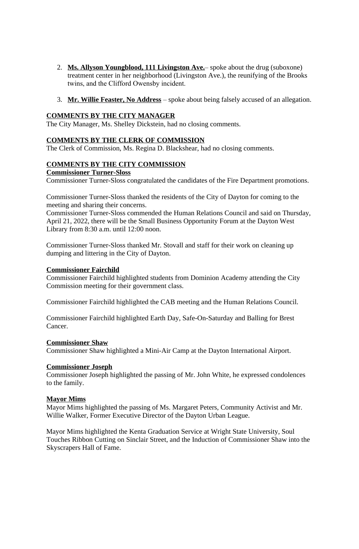- 2. **Ms. Allyson Youngblood, 111 Livingston Ave.** spoke about the drug (suboxone) treatment center in her neighborhood (Livingston Ave.), the reunifying of the Brooks twins, and the Clifford Owensby incident.
- 3. **Mr. Willie Feaster, No Address** spoke about being falsely accused of an allegation.

#### **COMMENTS BY THE CITY MANAGER**

The City Manager, Ms. Shelley Dickstein, had no closing comments.

#### **COMMENTS BY THE CLERK OF COMMISSION**

The Clerk of Commission, Ms. Regina D. Blackshear, had no closing comments.

## **COMMENTS BY THE CITY COMMISSION**

#### **Commissioner Turner-Sloss**

Commissioner Turner-Sloss congratulated the candidates of the Fire Department promotions.

Commissioner Turner-Sloss thanked the residents of the City of Dayton for coming to the meeting and sharing their concerns.

Commissioner Turner-Sloss commended the Human Relations Council and said on Thursday, April 21, 2022, there will be the Small Business Opportunity Forum at the Dayton West Library from 8:30 a.m. until 12:00 noon.

Commissioner Turner-Sloss thanked Mr. Stovall and staff for their work on cleaning up dumping and littering in the City of Dayton.

#### **Commissioner Fairchild**

Commissioner Fairchild highlighted students from Dominion Academy attending the City Commission meeting for their government class.

Commissioner Fairchild highlighted the CAB meeting and the Human Relations Council.

Commissioner Fairchild highlighted Earth Day, Safe-On-Saturday and Balling for Brest Cancer.

#### **Commissioner Shaw**

Commissioner Shaw highlighted a Mini-Air Camp at the Dayton International Airport.

#### **Commissioner Joseph**

Commissioner Joseph highlighted the passing of Mr. John White, he expressed condolences to the family.

# **Mayor Mims**

Mayor Mims highlighted the passing of Ms. Margaret Peters, Community Activist and Mr. Willie Walker, Former Executive Director of the Dayton Urban League.

Mayor Mims highlighted the Kenta Graduation Service at Wright State University, Soul Touches Ribbon Cutting on Sinclair Street, and the Induction of Commissioner Shaw into the Skyscrapers Hall of Fame.